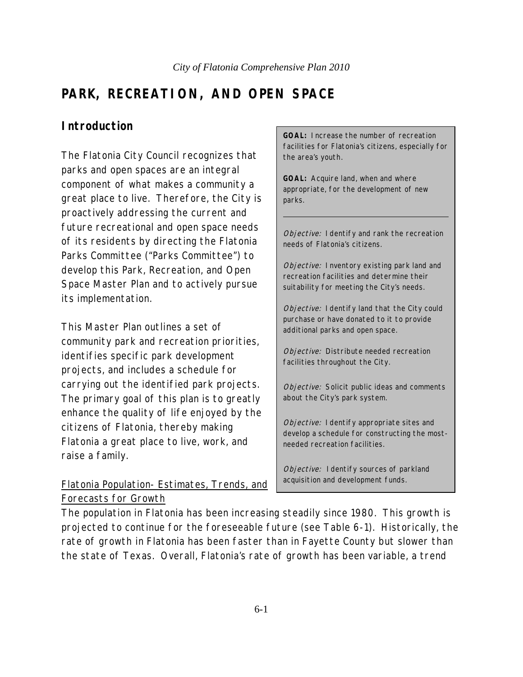# **PARK, RECREATION, AND OPEN SPACE**

### **Introduction**

The Flatonia City Council recognizes that parks and open spaces are an integral component of what makes a community a great place to live. Therefore, the City is proactively addressing the current and future recreational and open space needs of its residents by directing the Flatonia Parks Committee ("Parks Committee") to develop this Park, Recreation, and Open Space Master Plan and to actively pursue its implementation.

This Master Plan outlines a set of community park and recreation priorities, identifies specific park development projects, and includes a schedule for carrying out the identified park projects. The primary goal of this plan is to greatly enhance the quality of life enjoyed by the citizens of Flatonia, thereby making Flatonia a great place to live, work, and raise a family.

Flatonia Population- Estimates, Trends, and Forecasts for Growth

**GOAL:** Increase the number of recreation facilities for Flatonia's citizens, especially for the area's youth.

**GOAL:** Acquire land, when and where appropriate, for the development of new parks.

Objective: I dentify and rank the recreation needs of Flatonia's citizens.

Objective: Inventory existing park land and recreation facilities and determine their suitability for meeting the City's needs.

Objective: I dentify land that the City could purchase or have donated to it to provide additional parks and open space.

Objective: Distribute needed recreation facilities throughout the City.

Objective: Solicit public ideas and comments about the City's park system.

Objective: I dentify appropriate sites and develop a schedule for constructing the mostneeded recreation facilities.

Objective: I dentify sources of parkland acquisition and development funds.

The population in Flatonia has been increasing steadily since 1980. This growth is projected to continue for the foreseeable future (see Table 6-1). Historically, the rate of growth in Flatonia has been faster than in Fayette County but slower than the state of Texas. Overall, Flatonia's rate of growth has been variable, a trend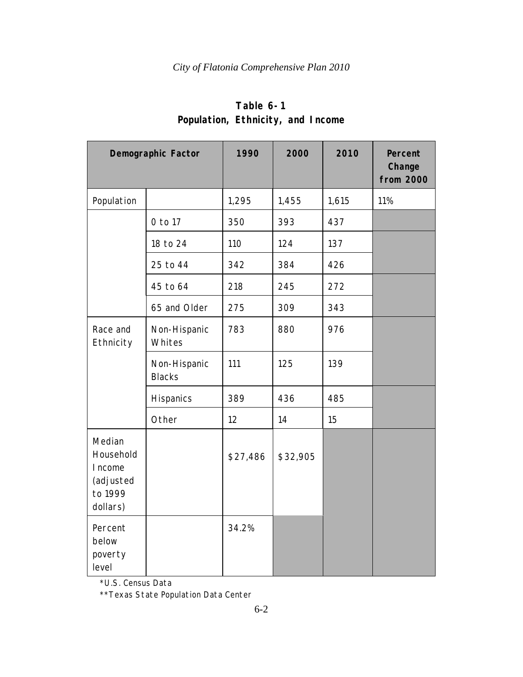|                                                                    | Demographic Factor            | 1990     | 2000     | 2010  | Percent<br>Change<br>from 2000 |
|--------------------------------------------------------------------|-------------------------------|----------|----------|-------|--------------------------------|
| Population                                                         |                               | 1,295    | 1,455    | 1,615 | 11%                            |
|                                                                    | 0 to 17                       | 350      | 393      | 437   |                                |
|                                                                    | 18 to 24                      | 110      | 124      | 137   |                                |
|                                                                    | 25 to 44                      | 342      | 384      | 426   |                                |
|                                                                    | 45 to 64                      | 218      | 245      | 272   |                                |
|                                                                    | 65 and Older                  | 275      | 309      | 343   |                                |
| Race and<br>Ethnicity                                              | Non-Hispanic<br>Whites        | 783      | 880      | 976   |                                |
|                                                                    | Non-Hispanic<br><b>Blacks</b> | 111      | 125      | 139   |                                |
|                                                                    | Hispanics                     | 389      | 436      | 485   |                                |
|                                                                    | Other                         | 12       | 14       | 15    |                                |
| Median<br>Household<br>I ncome<br>(adjusted<br>to 1999<br>dollars) |                               | \$27,486 | \$32,905 |       |                                |
| Percent<br>below<br>poverty<br>level                               |                               | 34.2%    |          |       |                                |

# **Table 6-1 Population, Ethnicity, and Income**

\*U.S. Census Data

\*\*Texas State Population Data Center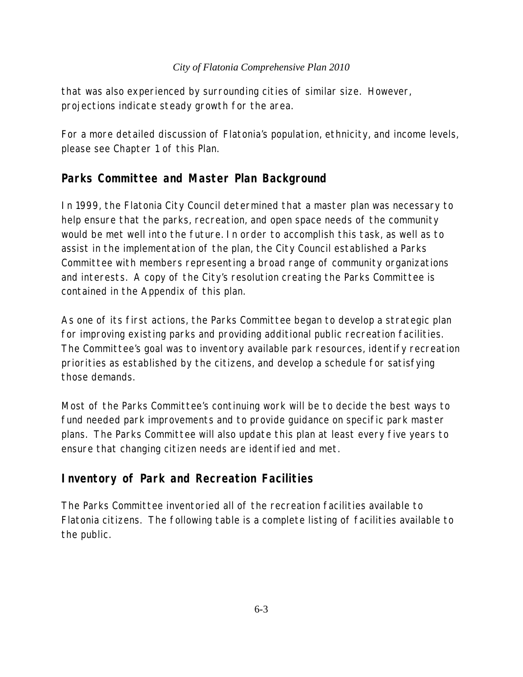that was also experienced by surrounding cities of similar size. However, projections indicate steady growth for the area.

For a more detailed discussion of Flatonia's population, ethnicity, and income levels, please see Chapter 1 of this Plan.

## **Parks Committee and Master Plan Background**

In 1999, the Flatonia City Council determined that a master plan was necessary to help ensure that the parks, recreation, and open space needs of the community would be met well into the future. In order to accomplish this task, as well as to assist in the implementation of the plan, the City Council established a Parks Committee with members representing a broad range of community organizations and interests. A copy of the City's resolution creating the Parks Committee is contained in the Appendix of this plan.

As one of its first actions, the Parks Committee began to develop a strategic plan for improving existing parks and providing additional public recreation facilities. The Committee's goal was to inventory available park resources, identify recreation priorities as established by the citizens, and develop a schedule for satisfying those demands.

Most of the Parks Committee's continuing work will be to decide the best ways to fund needed park improvements and to provide guidance on specific park master plans. The Parks Committee will also update this plan at least every five years to ensure that changing citizen needs are identified and met.

## **Inventory of Park and Recreation Facilities**

The Parks Committee inventoried all of the recreation facilities available to Flatonia citizens. The following table is a complete listing of facilities available to the public.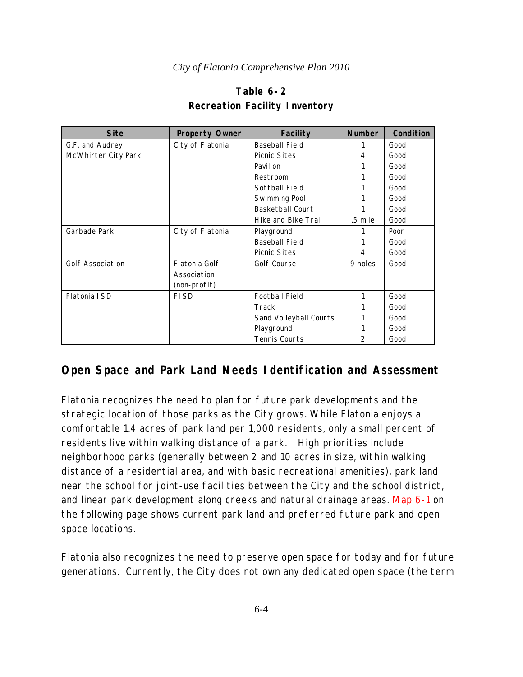| Table 6-2                            |  |  |  |  |  |
|--------------------------------------|--|--|--|--|--|
| <b>Recreation Facility Inventory</b> |  |  |  |  |  |

| <b>Site</b><br><b>Property Owner</b> |                  | <b>Facility</b>         | <b>Number</b>  | Condition |
|--------------------------------------|------------------|-------------------------|----------------|-----------|
| City of Flatonia<br>G.F. and Audrey  |                  | <b>Baseball Field</b>   |                | Good      |
| McWhirter City Park                  |                  | <b>Picnic Sites</b>     | 4              | Good      |
|                                      |                  | Pavilion                |                | Good      |
|                                      |                  | Restroom                |                | Good      |
|                                      |                  | Softball Field          |                | Good      |
|                                      |                  | Swimming Pool           |                | Good      |
|                                      |                  | <b>Basketball Court</b> |                | Good      |
|                                      |                  | Hike and Bike Trail     | .5 mile        | Good      |
| Garbade Park                         | City of Flatonia |                         |                | Poor      |
|                                      |                  | <b>Baseball Field</b>   |                | Good      |
|                                      |                  | <b>Picnic Sites</b>     | 4              | Good      |
| <b>Golf Association</b>              | Flatonia Golf    | Golf Course             | 9 holes        | Good      |
| Association                          |                  |                         |                |           |
|                                      | (non-profit)     |                         |                |           |
| Flatonia ISD                         | <b>FISD</b>      | <b>Football Field</b>   | 1              | Good      |
|                                      |                  | Track                   |                | Good      |
|                                      |                  | Sand Volleyball Courts  |                | Good      |
|                                      |                  | Playground              |                | Good      |
|                                      |                  | Tennis Courts           | $\overline{2}$ | Good      |

# **Open Space and Park Land Needs Identification and Assessment**

Flatonia recognizes the need to plan for future park developments and the strategic location of those parks as the City grows. While Flatonia enjoys a comfortable 1.4 acres of park land per 1,000 residents, only a small percent of residents live within walking distance of a park.High priorities include neighborhood parks (generally between 2 and 10 acres in size, within walking distance of a residential area, and with basic recreational amenities), park land near the school for joint-use facilities between the City and the school district, and linear park development along creeks and natural drainage areas. Map 6-1 on the following page shows current park land and preferred future park and open space locations.

Flatonia also recognizes the need to preserve open space for today and for future generations. Currently, the City does not own any dedicated open space (the term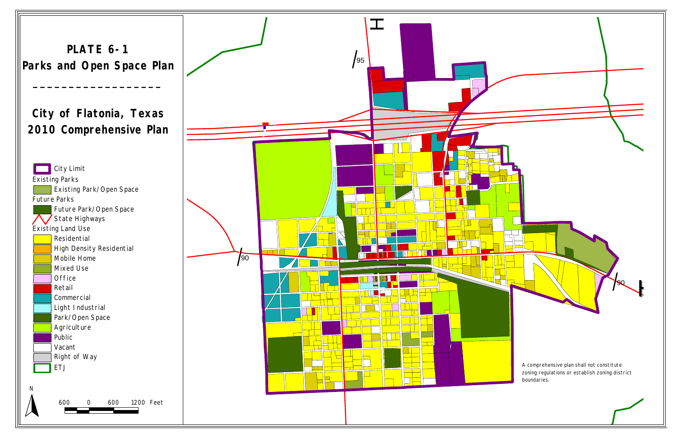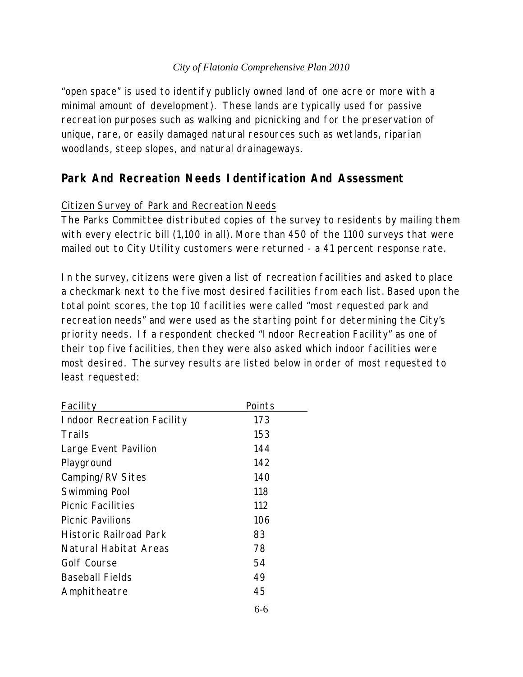"open space" is used to identify publicly owned land of one acre or more with a minimal amount of development). These lands are typically used for passive recreation purposes such as walking and picnicking and for the preservation of unique, rare, or easily damaged natural resources such as wetlands, riparian woodlands, steep slopes, and natural drainageways.

## **Park And Recreation Needs Identification And Assessment**

### Citizen Survey of Park and Recreation Needs

The Parks Committee distributed copies of the survey to residents by mailing them with every electric bill (1,100 in all). More than 450 of the 1100 surveys that were mailed out to City Utility customers were returned - a 41 percent response rate.

In the survey, citizens were given a list of recreation facilities and asked to place a checkmark next to the five most desired facilities from each list. Based upon the total point scores, the top 10 facilities were called "most requested park and recreation needs" and were used as the starting point for determining the City's priority needs. If a respondent checked "Indoor Recreation Facility" as one of their top five facilities, then they were also asked which indoor facilities were most desired. The survey results are listed below in order of most requested to least requested:

| Facility                          | Points |
|-----------------------------------|--------|
| <b>Indoor Recreation Facility</b> | 173    |
| Trails                            | 153    |
| Large Event Pavilion              | 144    |
| Playground                        | 142    |
| Camping/RV Sites                  | 140    |
| Swimming Pool                     | 118    |
| <b>Picnic Facilities</b>          | 112    |
| <b>Picnic Pavilions</b>           | 106    |
| Historic Railroad Park            | 83     |
| Natural Habitat Areas             | 78     |
| Golf Course                       | 54     |
| <b>Baseball Fields</b>            | 49     |
| Amphitheatre                      | 45     |
|                                   |        |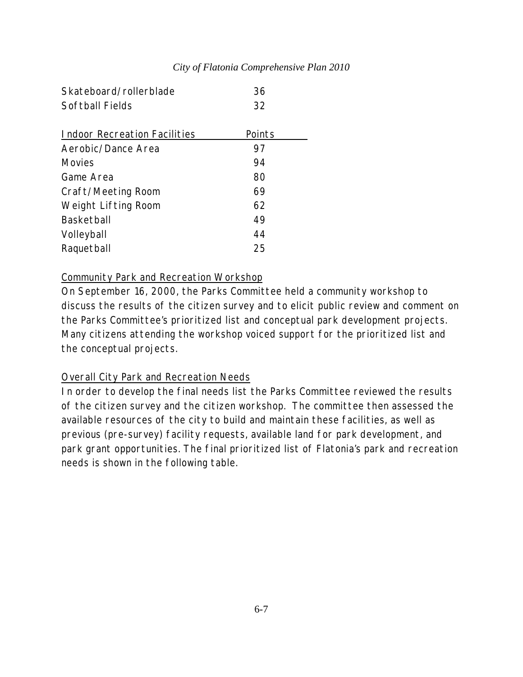| Skateboard/rollerblade              | 36     |
|-------------------------------------|--------|
| Softball Fields                     | 32     |
|                                     |        |
| <b>Indoor Recreation Facilities</b> | Points |
| Aerobic/Dance Area                  | 97     |
| Movies                              | 94     |
| Game Area                           | 80     |
| Craft/Meeting Room                  | 69     |
| Weight Lifting Room                 | 62     |
| Basketball                          | 49     |
| Volleyball                          | 44     |
| Raquetball                          | 25     |

#### Community Park and Recreation Workshop

On September 16, 2000, the Parks Committee held a community workshop to discuss the results of the citizen survey and to elicit public review and comment on the Parks Committee's prioritized list and conceptual park development projects. Many citizens attending the workshop voiced support for the prioritized list and the conceptual projects.

### Overall City Park and Recreation Needs

In order to develop the final needs list the Parks Committee reviewed the results of the citizen survey and the citizen workshop. The committee then assessed the available resources of the city to build and maintain these facilities, as well as previous (pre-survey) facility requests, available land for park development, and park grant opportunities. The final prioritized list of Flatonia's park and recreation needs is shown in the following table.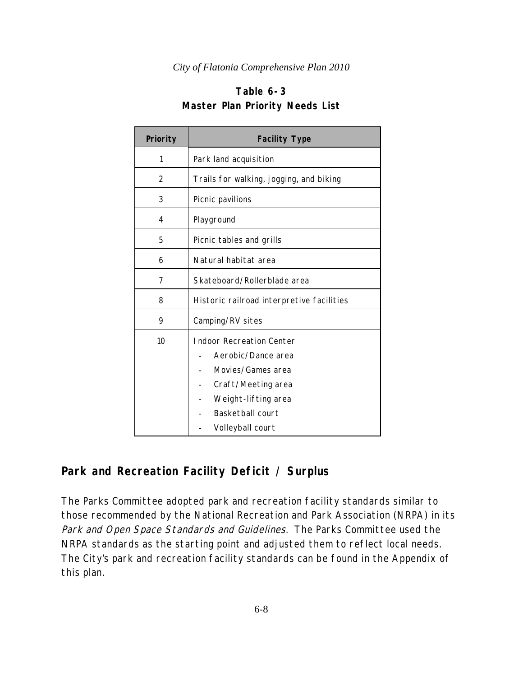### **Table 6-3 Master Plan Priority Needs List**

| Priority | <b>Facility Type</b>                                                                                                                                            |  |  |  |  |
|----------|-----------------------------------------------------------------------------------------------------------------------------------------------------------------|--|--|--|--|
| 1        | Park land acquisition                                                                                                                                           |  |  |  |  |
| 2        | Trails for walking, jogging, and biking                                                                                                                         |  |  |  |  |
| 3        | Picnic pavilions                                                                                                                                                |  |  |  |  |
| 4        | Playground                                                                                                                                                      |  |  |  |  |
| 5        | Picnic tables and grills                                                                                                                                        |  |  |  |  |
| 6        | Natural habitat area                                                                                                                                            |  |  |  |  |
| 7        | Skateboard/Rollerblade area                                                                                                                                     |  |  |  |  |
| 8        | Historic railroad interpretive facilities                                                                                                                       |  |  |  |  |
| 9        | Camping/RV sites                                                                                                                                                |  |  |  |  |
| 10       | <b>Indoor Recreation Center</b><br>Aerobic/Dance area<br>Movies/Games area<br>Craft/Meeting area<br>Weight-lifting area<br>Basketball court<br>Volleyball court |  |  |  |  |

## **Park and Recreation Facility Deficit / Surplus**

The Parks Committee adopted park and recreation facility standards similar to those recommended by the National Recreation and Park Association (NRPA) in its Park and Open Space Standards and Guidelines. The Parks Committee used the NRPA standards as the starting point and adjusted them to reflect local needs. The City's park and recreation facility standards can be found in the Appendix of this plan.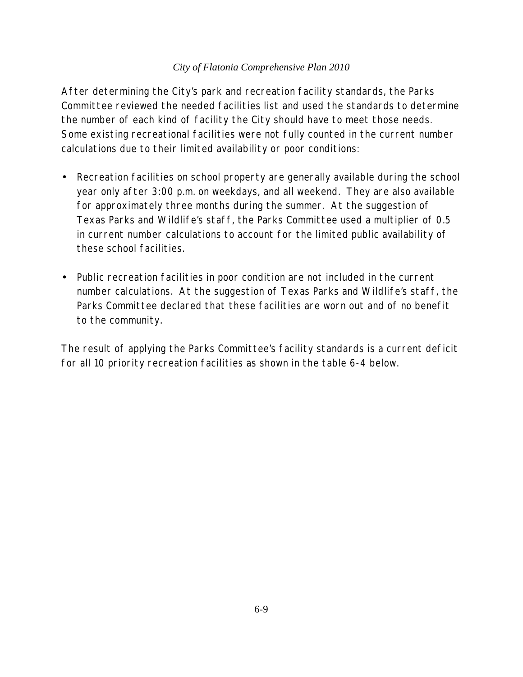After determining the City's park and recreation facility standards, the Parks Committee reviewed the needed facilities list and used the standards to determine the number of each kind of facility the City should have to meet those needs. Some existing recreational facilities were not fully counted in the current number calculations due to their limited availability or poor conditions:

- Recreation facilities on school property are generally available during the school year only after 3:00 p.m. on weekdays, and all weekend. They are also available for approximately three months during the summer. At the suggestion of Texas Parks and Wildlife's staff, the Parks Committee used a multiplier of 0.5 in current number calculations to account for the limited public availability of these school facilities.
- Public recreation facilities in poor condition are not included in the current number calculations. At the suggestion of Texas Parks and Wildlife's staff, the Parks Committee declared that these facilities are worn out and of no benefit to the community.

The result of applying the Parks Committee's facility standards is a current deficit for all 10 priority recreation facilities as shown in the table 6-4 below.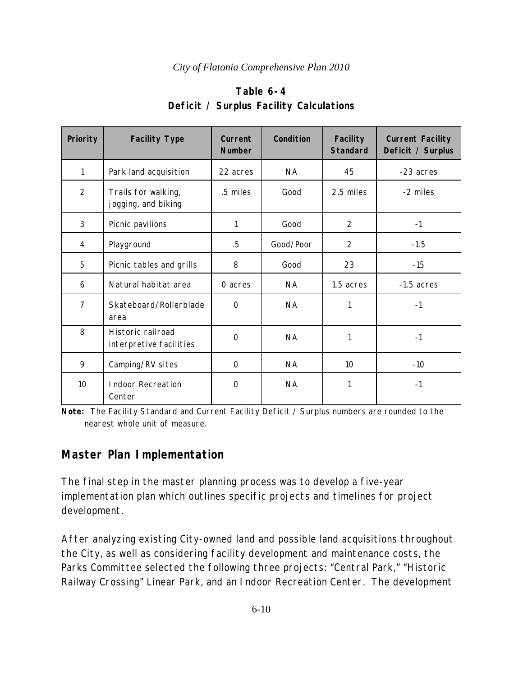| Priority       | <b>Facility Type</b>                         | Current<br><b>Number</b> | Condition | <b>Facility</b><br><b>Standard</b> | <b>Current Facility</b><br>Deficit / Surplus |
|----------------|----------------------------------------------|--------------------------|-----------|------------------------------------|----------------------------------------------|
| 1              | Park land acquisition                        | 22 acres                 | <b>NA</b> | 45                                 | -23 acres                                    |
| $\overline{2}$ | Trails for walking,<br>jogging, and biking   | .5 miles                 | Good      | 2.5 miles                          | -2 miles                                     |
| 3              | Picnic pavilions                             | 1                        | Good      | $\overline{2}$                     | $-1$                                         |
| 4              | Playground                                   | $.5\,$                   | Good/Poor | $\overline{2}$                     | $-1.5$                                       |
| 5              | Picnic tables and grills                     | 8                        | Good      | 23                                 | $-15$                                        |
| 6              | Natural habitat area                         | 0 acres                  | <b>NA</b> | 1.5 acres                          | $-1.5$ acres                                 |
| $\overline{7}$ | Skateboard/Rollerblade<br>area               | $\Omega$                 | <b>NA</b> |                                    | $-1$                                         |
| 8              | Historic railroad<br>interpretive facilities | $\mathbf 0$              | <b>NA</b> | 1                                  | $-1$                                         |
| 9              | Camping/RV sites                             | $\Omega$                 | <b>NA</b> | 10                                 | $-10$                                        |
| 10             | <b>Indoor Recreation</b><br>Center           | 0                        | <b>NA</b> | 1                                  | $-1$                                         |

### **Table 6-4 Deficit / Surplus Facility Calculations**

**Note:** The Facility Standard and Current Facility Deficit / Surplus numbers are rounded to the nearest whole unit of measure.

# **Master Plan Implementation**

The final step in the master planning process was to develop a five-year implementation plan which outlines specific projects and timelines for project development.

After analyzing existing City-owned land and possible land acquisitions throughout the City, as well as considering facility development and maintenance costs, the Parks Committee selected the following three projects: "Central Park," "Historic Railway Crossing" Linear Park, and an Indoor Recreation Center. The development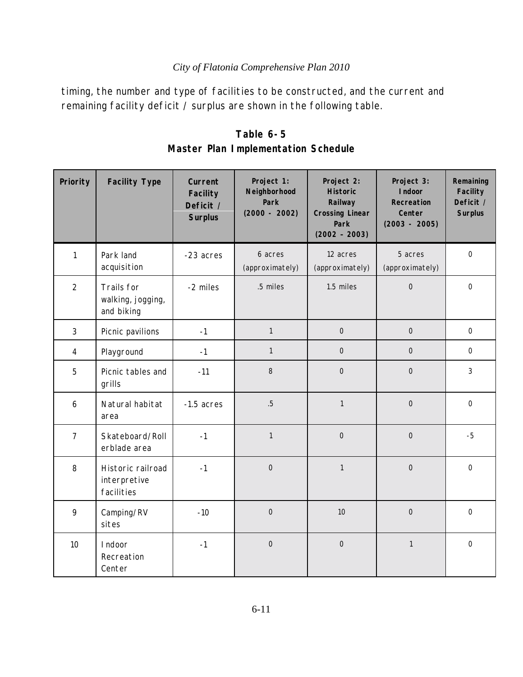timing, the number and type of facilities to be constructed, and the current and remaining facility deficit / surplus are shown in the following table.

| Priority         | <b>Facility Type</b>                            | Current<br><b>Facility</b><br>Deficit /<br><b>Surplus</b> | Project 1:<br>Neighborhood<br>Park<br>$(2000 - 2002)$ | Project 2:<br><b>Historic</b><br>Railway<br><b>Crossing Linear</b><br>Park<br>$(2002 - 2003)$ | Project 3:<br>I ndoor<br>Recreation<br>Center<br>$(2003 - 2005)$ | Remaining<br>Facility<br>Deficit /<br><b>Surplus</b> |
|------------------|-------------------------------------------------|-----------------------------------------------------------|-------------------------------------------------------|-----------------------------------------------------------------------------------------------|------------------------------------------------------------------|------------------------------------------------------|
| $\mathbf{1}$     | Park land<br>acquisition                        | -23 acres                                                 | 6 acres<br>(approximately)                            | 12 acres<br>(approximately)                                                                   | 5 acres<br>(approximately)                                       | $\mathbf 0$                                          |
| $\overline{2}$   | Trails for<br>walking, jogging,<br>and biking   | -2 miles                                                  | .5 miles                                              | 1.5 miles                                                                                     | $\mathbf 0$                                                      | $\mathbf 0$                                          |
| $\mathfrak{Z}$   | Picnic pavilions                                | $-1$                                                      | $\mathbf{1}$                                          | $\mathsf{O}\xspace$                                                                           | $\mathbf 0$                                                      | $\overline{O}$                                       |
| $\overline{4}$   | Playground                                      | $-1$                                                      | $\mathbf{1}$                                          | $\overline{O}$                                                                                | $\overline{O}$                                                   | $\mathbf 0$                                          |
| 5                | Picnic tables and<br>grills                     | $-11$                                                     | 8                                                     | $\mathsf{O}$                                                                                  | $\mathbf 0$                                                      | 3                                                    |
| $\boldsymbol{6}$ | Natural habitat<br>area                         | $-1.5$ acres                                              | $.5\phantom{0}$                                       | $\mathbf{1}$                                                                                  | $\overline{0}$                                                   | $\overline{0}$                                       |
| $\overline{7}$   | Skateboard/Roll<br>erblade area                 | $-1$                                                      | $\mathbf{1}$                                          | $\overline{0}$                                                                                | $\overline{0}$                                                   | $-5$                                                 |
| 8                | Historic railroad<br>interpretive<br>facilities | $-1$                                                      | $\overline{0}$                                        | $\mathbf{1}$                                                                                  | $\overline{0}$                                                   | $\overline{O}$                                       |
| 9                | Camping/RV<br>sites                             | $-10$                                                     | $\overline{0}$                                        | 10                                                                                            | $\overline{0}$                                                   | $\overline{0}$                                       |
| 10               | I ndoor<br>Recreation<br>Center                 | $-1$                                                      | $\mathbf 0$                                           | $\overline{0}$                                                                                | $\mathbf{1}$                                                     | $\overline{0}$                                       |

**Table 6-5 Master Plan Implementation Schedule**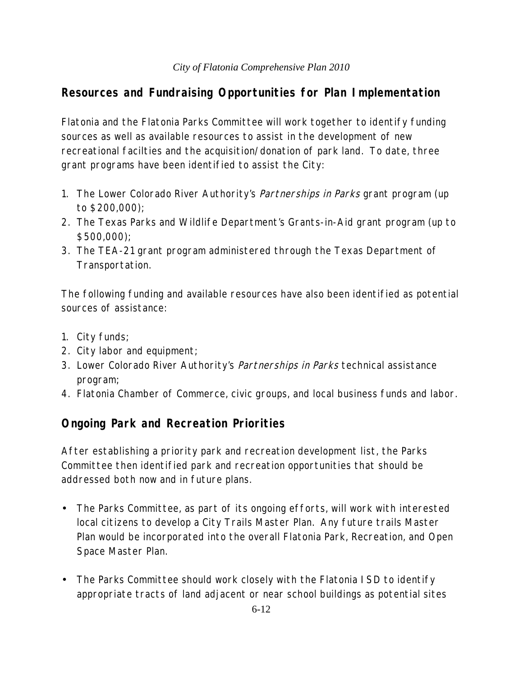## **Resources and Fundraising Opportunities for Plan Implementation**

Flatonia and the Flatonia Parks Committee will work together to identify funding sources as well as available resources to assist in the development of new recreational facilties and the acquisition/donation of park land. To date, three grant programs have been identified to assist the City:

- 1. The Lower Colorado River Authority's *Partnerships in Parks* grant program (up to \$200,000);
- 2. The Texas Parks and Wildlife Department's Grants-in-Aid grant program (up to \$500,000);
- 3. The TEA-21 grant program administered through the Texas Department of Transportation.

The following funding and available resources have also been identified as potential sources of assistance:

- 1. City funds;
- 2. City labor and equipment;
- 3. Lower Colorado River Authority's *Partnerships in Parks* technical assistance program;
- 4. Flatonia Chamber of Commerce, civic groups, and local business funds and labor.

# **Ongoing Park and Recreation Priorities**

After establishing a priority park and recreation development list, the Parks Committee then identified park and recreation opportunities that should be addressed both now and in future plans.

- The Parks Committee, as part of its ongoing efforts, will work with interested local citizens to develop a City Trails Master Plan. Any future trails Master Plan would be incorporated into the overall Flatonia Park, Recreation, and Open Space Master Plan.
- The Parks Committee should work closely with the Flatonia ISD to identify appropriate tracts of land adjacent or near school buildings as potential sites